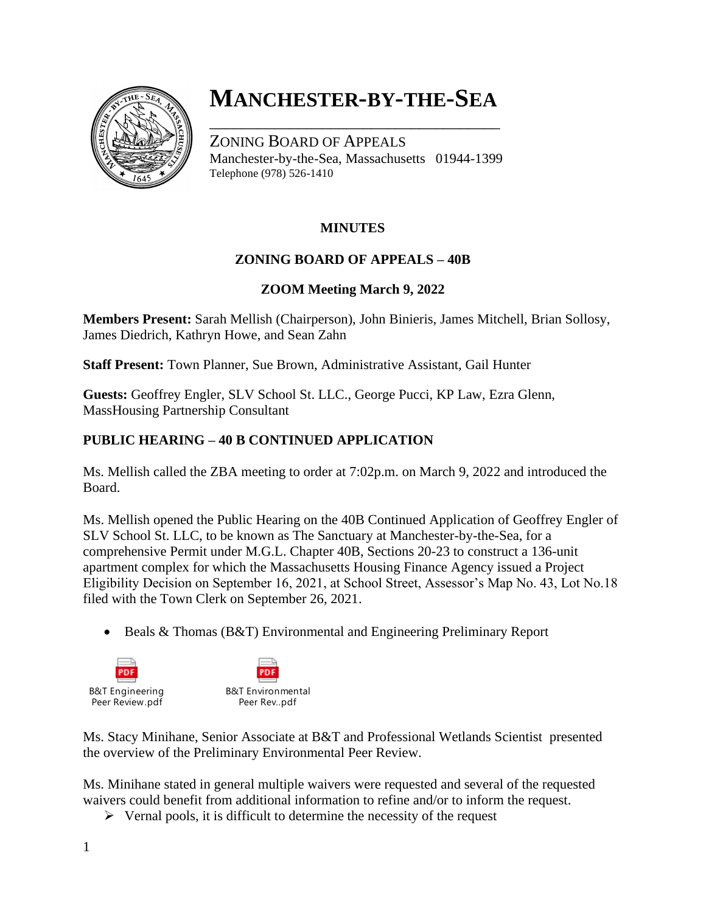

# **MANCHESTER-BY-THE-SEA**

\_\_\_\_\_\_\_\_\_\_\_\_\_\_\_\_\_\_\_\_\_\_\_\_\_\_\_\_\_\_\_\_\_\_\_\_

ZONING BOARD OF APPEALS Manchester-by-the-Sea, Massachusetts 01944-1399 Telephone (978) 526-1410

## **MINUTES**

## **ZONING BOARD OF APPEALS – 40B**

### **ZOOM Meeting March 9, 2022**

**Members Present:** Sarah Mellish (Chairperson), John Binieris, James Mitchell, Brian Sollosy, James Diedrich, Kathryn Howe, and Sean Zahn

**Staff Present:** Town Planner, Sue Brown, Administrative Assistant, Gail Hunter

**Guests:** Geoffrey Engler, SLV School St. LLC., George Pucci, KP Law, Ezra Glenn, MassHousing Partnership Consultant

### **PUBLIC HEARING – 40 B CONTINUED APPLICATION**

Ms. Mellish called the ZBA meeting to order at 7:02p.m. on March 9, 2022 and introduced the Board.

Ms. Mellish opened the Public Hearing on the 40B Continued Application of Geoffrey Engler of SLV School St. LLC, to be known as The Sanctuary at Manchester-by-the-Sea, for a comprehensive Permit under M.G.L. Chapter 40B, Sections 20-23 to construct a 136-unit apartment complex for which the Massachusetts Housing Finance Agency issued a Project Eligibility Decision on September 16, 2021, at School Street, Assessor's Map No. 43, Lot No.18 filed with the Town Clerk on September 26, 2021.

• Beals & Thomas (B&T) Environmental and Engineering Preliminary Report



Ms. Stacy Minihane, Senior Associate at B&T and Professional Wetlands Scientist presented the overview of the Preliminary Environmental Peer Review.

Ms. Minihane stated in general multiple waivers were requested and several of the requested waivers could benefit from additional information to refine and/or to inform the request.

 $\triangleright$  Vernal pools, it is difficult to determine the necessity of the request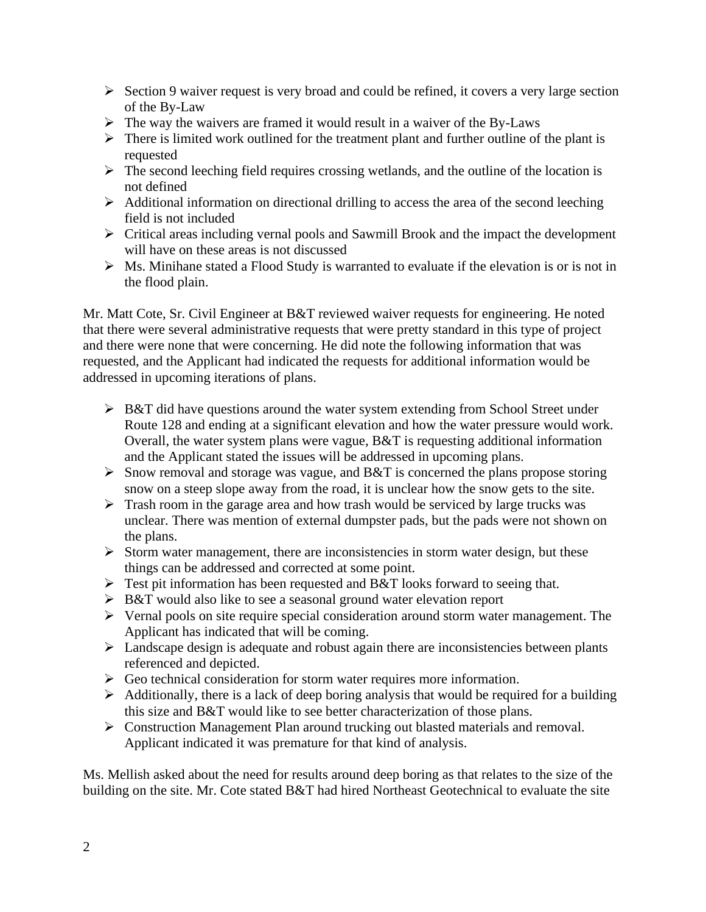- ➢ Section 9 waiver request is very broad and could be refined, it covers a very large section of the By-Law
- $\triangleright$  The way the waivers are framed it would result in a waiver of the By-Laws
- $\triangleright$  There is limited work outlined for the treatment plant and further outline of the plant is requested
- $\triangleright$  The second leeching field requires crossing wetlands, and the outline of the location is not defined
- ➢ Additional information on directional drilling to access the area of the second leeching field is not included
- ➢ Critical areas including vernal pools and Sawmill Brook and the impact the development will have on these areas is not discussed
- ➢ Ms. Minihane stated a Flood Study is warranted to evaluate if the elevation is or is not in the flood plain.

Mr. Matt Cote, Sr. Civil Engineer at B&T reviewed waiver requests for engineering. He noted that there were several administrative requests that were pretty standard in this type of project and there were none that were concerning. He did note the following information that was requested, and the Applicant had indicated the requests for additional information would be addressed in upcoming iterations of plans.

- $\triangleright$  B&T did have questions around the water system extending from School Street under Route 128 and ending at a significant elevation and how the water pressure would work. Overall, the water system plans were vague, B&T is requesting additional information and the Applicant stated the issues will be addressed in upcoming plans.
- $\triangleright$  Snow removal and storage was vague, and B&T is concerned the plans propose storing snow on a steep slope away from the road, it is unclear how the snow gets to the site.
- ➢ Trash room in the garage area and how trash would be serviced by large trucks was unclear. There was mention of external dumpster pads, but the pads were not shown on the plans.
- $\triangleright$  Storm water management, there are inconsistencies in storm water design, but these things can be addressed and corrected at some point.
- $\triangleright$  Test pit information has been requested and B&T looks forward to seeing that.
- ➢ B&T would also like to see a seasonal ground water elevation report
- ➢ Vernal pools on site require special consideration around storm water management. The Applicant has indicated that will be coming.
- $\triangleright$  Landscape design is adequate and robust again there are inconsistencies between plants referenced and depicted.
- $\triangleright$  Geo technical consideration for storm water requires more information.
- $\triangleright$  Additionally, there is a lack of deep boring analysis that would be required for a building this size and B&T would like to see better characterization of those plans.
- ➢ Construction Management Plan around trucking out blasted materials and removal. Applicant indicated it was premature for that kind of analysis.

Ms. Mellish asked about the need for results around deep boring as that relates to the size of the building on the site. Mr. Cote stated B&T had hired Northeast Geotechnical to evaluate the site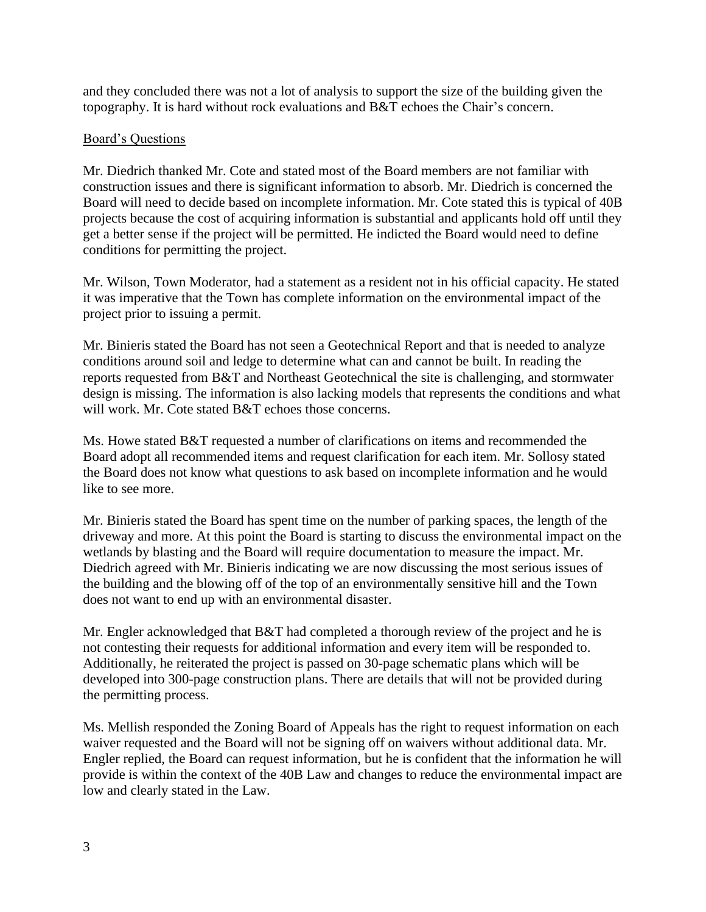and they concluded there was not a lot of analysis to support the size of the building given the topography. It is hard without rock evaluations and B&T echoes the Chair's concern.

#### Board's Questions

Mr. Diedrich thanked Mr. Cote and stated most of the Board members are not familiar with construction issues and there is significant information to absorb. Mr. Diedrich is concerned the Board will need to decide based on incomplete information. Mr. Cote stated this is typical of 40B projects because the cost of acquiring information is substantial and applicants hold off until they get a better sense if the project will be permitted. He indicted the Board would need to define conditions for permitting the project.

Mr. Wilson, Town Moderator, had a statement as a resident not in his official capacity. He stated it was imperative that the Town has complete information on the environmental impact of the project prior to issuing a permit.

Mr. Binieris stated the Board has not seen a Geotechnical Report and that is needed to analyze conditions around soil and ledge to determine what can and cannot be built. In reading the reports requested from B&T and Northeast Geotechnical the site is challenging, and stormwater design is missing. The information is also lacking models that represents the conditions and what will work. Mr. Cote stated B&T echoes those concerns.

Ms. Howe stated B&T requested a number of clarifications on items and recommended the Board adopt all recommended items and request clarification for each item. Mr. Sollosy stated the Board does not know what questions to ask based on incomplete information and he would like to see more.

Mr. Binieris stated the Board has spent time on the number of parking spaces, the length of the driveway and more. At this point the Board is starting to discuss the environmental impact on the wetlands by blasting and the Board will require documentation to measure the impact. Mr. Diedrich agreed with Mr. Binieris indicating we are now discussing the most serious issues of the building and the blowing off of the top of an environmentally sensitive hill and the Town does not want to end up with an environmental disaster.

Mr. Engler acknowledged that B&T had completed a thorough review of the project and he is not contesting their requests for additional information and every item will be responded to. Additionally, he reiterated the project is passed on 30-page schematic plans which will be developed into 300-page construction plans. There are details that will not be provided during the permitting process.

Ms. Mellish responded the Zoning Board of Appeals has the right to request information on each waiver requested and the Board will not be signing off on waivers without additional data. Mr. Engler replied, the Board can request information, but he is confident that the information he will provide is within the context of the 40B Law and changes to reduce the environmental impact are low and clearly stated in the Law.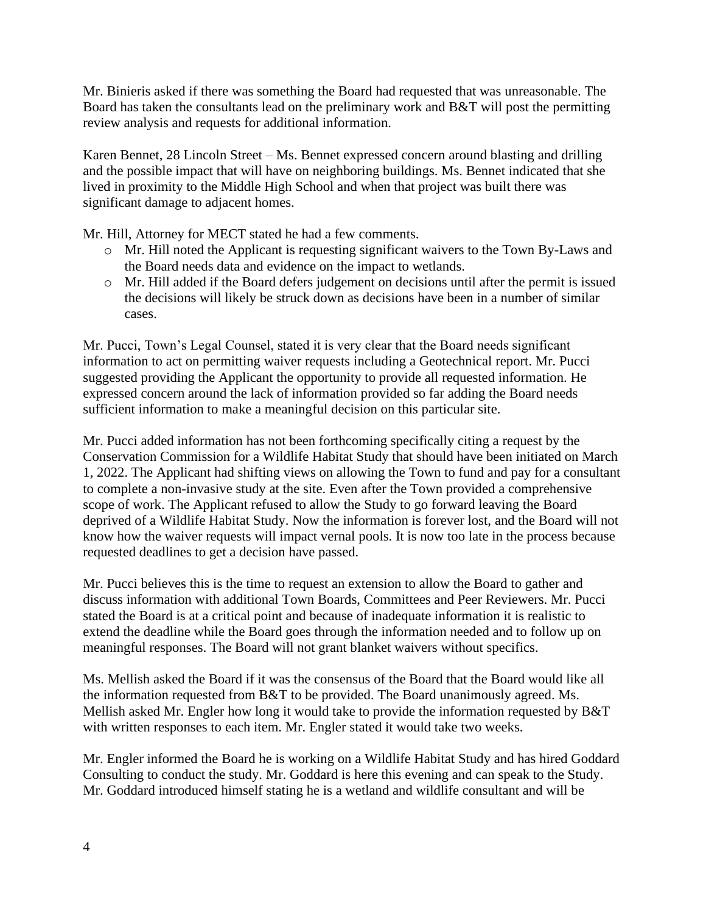Mr. Binieris asked if there was something the Board had requested that was unreasonable. The Board has taken the consultants lead on the preliminary work and B&T will post the permitting review analysis and requests for additional information.

Karen Bennet, 28 Lincoln Street – Ms. Bennet expressed concern around blasting and drilling and the possible impact that will have on neighboring buildings. Ms. Bennet indicated that she lived in proximity to the Middle High School and when that project was built there was significant damage to adjacent homes.

Mr. Hill, Attorney for MECT stated he had a few comments.

- o Mr. Hill noted the Applicant is requesting significant waivers to the Town By-Laws and the Board needs data and evidence on the impact to wetlands.
- o Mr. Hill added if the Board defers judgement on decisions until after the permit is issued the decisions will likely be struck down as decisions have been in a number of similar cases.

Mr. Pucci, Town's Legal Counsel, stated it is very clear that the Board needs significant information to act on permitting waiver requests including a Geotechnical report. Mr. Pucci suggested providing the Applicant the opportunity to provide all requested information. He expressed concern around the lack of information provided so far adding the Board needs sufficient information to make a meaningful decision on this particular site.

Mr. Pucci added information has not been forthcoming specifically citing a request by the Conservation Commission for a Wildlife Habitat Study that should have been initiated on March 1, 2022. The Applicant had shifting views on allowing the Town to fund and pay for a consultant to complete a non-invasive study at the site. Even after the Town provided a comprehensive scope of work. The Applicant refused to allow the Study to go forward leaving the Board deprived of a Wildlife Habitat Study. Now the information is forever lost, and the Board will not know how the waiver requests will impact vernal pools. It is now too late in the process because requested deadlines to get a decision have passed.

Mr. Pucci believes this is the time to request an extension to allow the Board to gather and discuss information with additional Town Boards, Committees and Peer Reviewers. Mr. Pucci stated the Board is at a critical point and because of inadequate information it is realistic to extend the deadline while the Board goes through the information needed and to follow up on meaningful responses. The Board will not grant blanket waivers without specifics.

Ms. Mellish asked the Board if it was the consensus of the Board that the Board would like all the information requested from B&T to be provided. The Board unanimously agreed. Ms. Mellish asked Mr. Engler how long it would take to provide the information requested by B&T with written responses to each item. Mr. Engler stated it would take two weeks.

Mr. Engler informed the Board he is working on a Wildlife Habitat Study and has hired Goddard Consulting to conduct the study. Mr. Goddard is here this evening and can speak to the Study. Mr. Goddard introduced himself stating he is a wetland and wildlife consultant and will be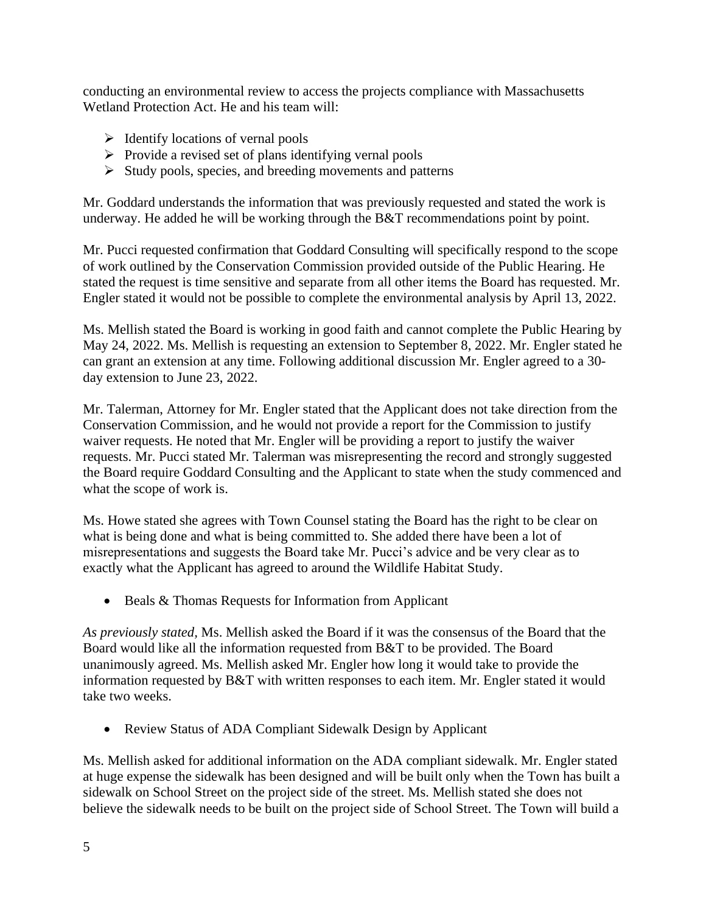conducting an environmental review to access the projects compliance with Massachusetts Wetland Protection Act. He and his team will:

- $\triangleright$  Identify locations of vernal pools
- ➢ Provide a revised set of plans identifying vernal pools
- ➢ Study pools, species, and breeding movements and patterns

Mr. Goddard understands the information that was previously requested and stated the work is underway. He added he will be working through the  $B&T$  recommendations point by point.

Mr. Pucci requested confirmation that Goddard Consulting will specifically respond to the scope of work outlined by the Conservation Commission provided outside of the Public Hearing. He stated the request is time sensitive and separate from all other items the Board has requested. Mr. Engler stated it would not be possible to complete the environmental analysis by April 13, 2022.

Ms. Mellish stated the Board is working in good faith and cannot complete the Public Hearing by May 24, 2022. Ms. Mellish is requesting an extension to September 8, 2022. Mr. Engler stated he can grant an extension at any time. Following additional discussion Mr. Engler agreed to a 30 day extension to June 23, 2022.

Mr. Talerman, Attorney for Mr. Engler stated that the Applicant does not take direction from the Conservation Commission, and he would not provide a report for the Commission to justify waiver requests. He noted that Mr. Engler will be providing a report to justify the waiver requests. Mr. Pucci stated Mr. Talerman was misrepresenting the record and strongly suggested the Board require Goddard Consulting and the Applicant to state when the study commenced and what the scope of work is.

Ms. Howe stated she agrees with Town Counsel stating the Board has the right to be clear on what is being done and what is being committed to. She added there have been a lot of misrepresentations and suggests the Board take Mr. Pucci's advice and be very clear as to exactly what the Applicant has agreed to around the Wildlife Habitat Study.

• Beals & Thomas Requests for Information from Applicant

*As previously stated,* Ms. Mellish asked the Board if it was the consensus of the Board that the Board would like all the information requested from B&T to be provided. The Board unanimously agreed. Ms. Mellish asked Mr. Engler how long it would take to provide the information requested by B&T with written responses to each item. Mr. Engler stated it would take two weeks.

• Review Status of ADA Compliant Sidewalk Design by Applicant

Ms. Mellish asked for additional information on the ADA compliant sidewalk. Mr. Engler stated at huge expense the sidewalk has been designed and will be built only when the Town has built a sidewalk on School Street on the project side of the street. Ms. Mellish stated she does not believe the sidewalk needs to be built on the project side of School Street. The Town will build a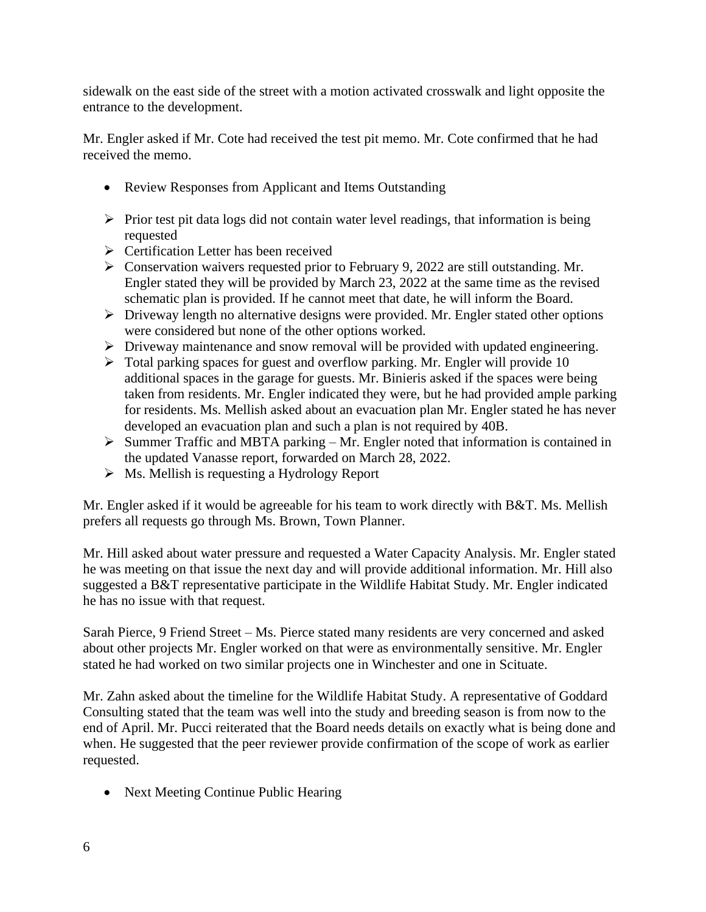sidewalk on the east side of the street with a motion activated crosswalk and light opposite the entrance to the development.

Mr. Engler asked if Mr. Cote had received the test pit memo. Mr. Cote confirmed that he had received the memo.

- Review Responses from Applicant and Items Outstanding
- $\triangleright$  Prior test pit data logs did not contain water level readings, that information is being requested
- ➢ Certification Letter has been received
- ➢ Conservation waivers requested prior to February 9, 2022 are still outstanding. Mr. Engler stated they will be provided by March 23, 2022 at the same time as the revised schematic plan is provided. If he cannot meet that date, he will inform the Board.
- ➢ Driveway length no alternative designs were provided. Mr. Engler stated other options were considered but none of the other options worked.
- ➢ Driveway maintenance and snow removal will be provided with updated engineering.
- $\triangleright$  Total parking spaces for guest and overflow parking. Mr. Engler will provide 10 additional spaces in the garage for guests. Mr. Binieris asked if the spaces were being taken from residents. Mr. Engler indicated they were, but he had provided ample parking for residents. Ms. Mellish asked about an evacuation plan Mr. Engler stated he has never developed an evacuation plan and such a plan is not required by 40B.
- ➢ Summer Traffic and MBTA parking Mr. Engler noted that information is contained in the updated Vanasse report, forwarded on March 28, 2022.
- ➢ Ms. Mellish is requesting a Hydrology Report

Mr. Engler asked if it would be agreeable for his team to work directly with B&T. Ms. Mellish prefers all requests go through Ms. Brown, Town Planner.

Mr. Hill asked about water pressure and requested a Water Capacity Analysis. Mr. Engler stated he was meeting on that issue the next day and will provide additional information. Mr. Hill also suggested a B&T representative participate in the Wildlife Habitat Study. Mr. Engler indicated he has no issue with that request.

Sarah Pierce, 9 Friend Street – Ms. Pierce stated many residents are very concerned and asked about other projects Mr. Engler worked on that were as environmentally sensitive. Mr. Engler stated he had worked on two similar projects one in Winchester and one in Scituate.

Mr. Zahn asked about the timeline for the Wildlife Habitat Study. A representative of Goddard Consulting stated that the team was well into the study and breeding season is from now to the end of April. Mr. Pucci reiterated that the Board needs details on exactly what is being done and when. He suggested that the peer reviewer provide confirmation of the scope of work as earlier requested.

• Next Meeting Continue Public Hearing